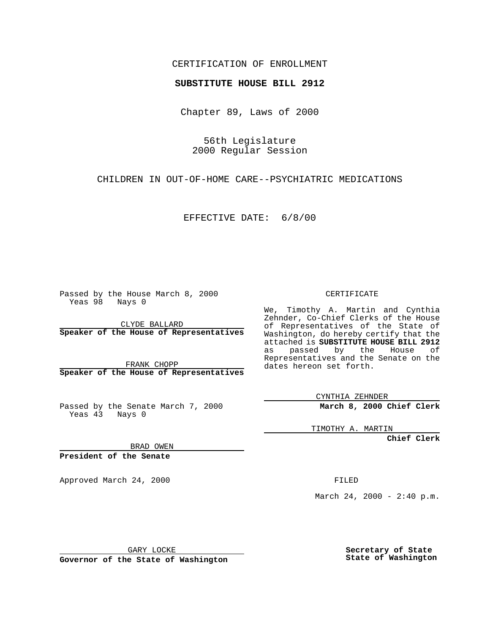## CERTIFICATION OF ENROLLMENT

## **SUBSTITUTE HOUSE BILL 2912**

Chapter 89, Laws of 2000

56th Legislature 2000 Regular Session

CHILDREN IN OUT-OF-HOME CARE--PSYCHIATRIC MEDICATIONS

EFFECTIVE DATE: 6/8/00

Passed by the House March 8, 2000 Yeas 98 Nays 0

CLYDE BALLARD **Speaker of the House of Representatives**

FRANK CHOPP **Speaker of the House of Representatives**

Passed by the Senate March 7, 2000 Yeas 43 Nays 0

CERTIFICATE

We, Timothy A. Martin and Cynthia Zehnder, Co-Chief Clerks of the House of Representatives of the State of Washington, do hereby certify that the attached is **SUBSTITUTE HOUSE BILL 2912** as passed by the House of Representatives and the Senate on the dates hereon set forth.

CYNTHIA ZEHNDER

**March 8, 2000 Chief Clerk**

TIMOTHY A. MARTIN

**Chief Clerk**

BRAD OWEN

**President of the Senate**

Approved March 24, 2000 FILED

March 24, 2000 - 2:40 p.m.

GARY LOCKE

**Governor of the State of Washington**

**Secretary of State State of Washington**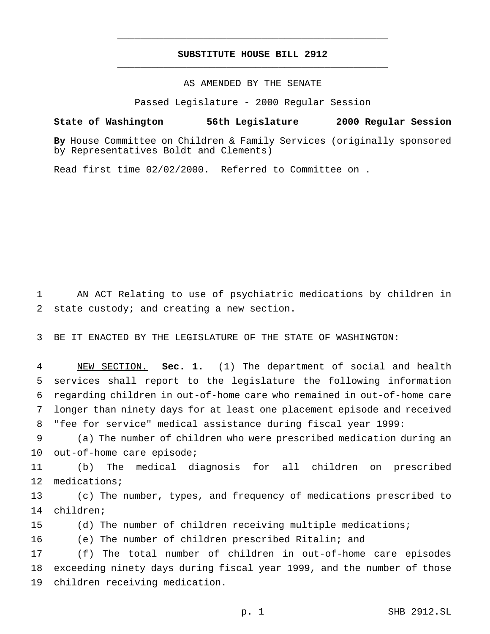## **SUBSTITUTE HOUSE BILL 2912** \_\_\_\_\_\_\_\_\_\_\_\_\_\_\_\_\_\_\_\_\_\_\_\_\_\_\_\_\_\_\_\_\_\_\_\_\_\_\_\_\_\_\_\_\_\_\_

\_\_\_\_\_\_\_\_\_\_\_\_\_\_\_\_\_\_\_\_\_\_\_\_\_\_\_\_\_\_\_\_\_\_\_\_\_\_\_\_\_\_\_\_\_\_\_

AS AMENDED BY THE SENATE

Passed Legislature - 2000 Regular Session

**State of Washington 56th Legislature 2000 Regular Session**

**By** House Committee on Children & Family Services (originally sponsored by Representatives Boldt and Clements)

Read first time 02/02/2000. Referred to Committee on .

 AN ACT Relating to use of psychiatric medications by children in state custody; and creating a new section.

BE IT ENACTED BY THE LEGISLATURE OF THE STATE OF WASHINGTON:

 NEW SECTION. **Sec. 1.** (1) The department of social and health services shall report to the legislature the following information regarding children in out-of-home care who remained in out-of-home care longer than ninety days for at least one placement episode and received "fee for service" medical assistance during fiscal year 1999:

 (a) The number of children who were prescribed medication during an out-of-home care episode;

 (b) The medical diagnosis for all children on prescribed medications;

 (c) The number, types, and frequency of medications prescribed to children;

(d) The number of children receiving multiple medications;

(e) The number of children prescribed Ritalin; and

 (f) The total number of children in out-of-home care episodes exceeding ninety days during fiscal year 1999, and the number of those children receiving medication.